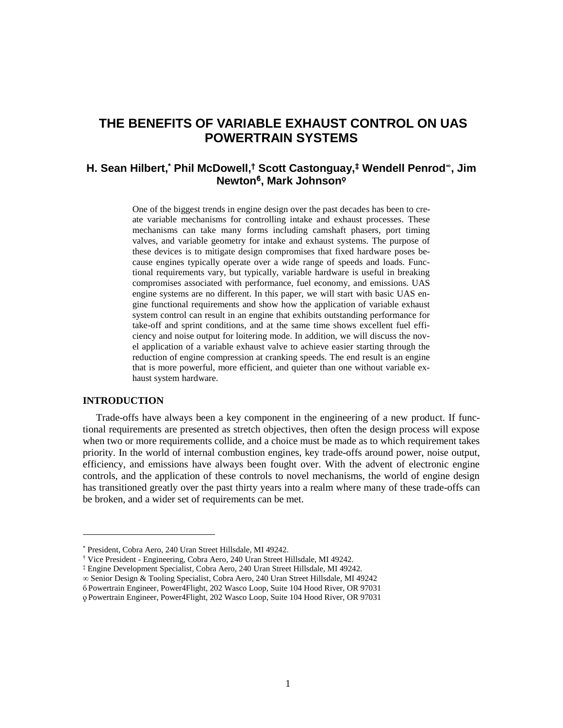# **THE BENEFITS OF VARIABLE EXHAUST CONTROL ON UAS POWERTRAIN SYSTEMS**

## **H. Sean Hilbert, \* Phil McDowell, † Scott Castonguay,‡ Wendell Penrod<sup>∞</sup>, Jim Newton<sup>ϐ</sup> , Mark Johnson<sup>ϙ</sup>**

One of the biggest trends in engine design over the past decades has been to create variable mechanisms for controlling intake and exhaust processes. These mechanisms can take many forms including camshaft phasers, port timing valves, and variable geometry for intake and exhaust systems. The purpose of these devices is to mitigate design compromises that fixed hardware poses because engines typically operate over a wide range of speeds and loads. Functional requirements vary, but typically, variable hardware is useful in breaking compromises associated with performance, fuel economy, and emissions. UAS engine systems are no different. In this paper, we will start with basic UAS engine functional requirements and show how the application of variable exhaust system control can result in an engine that exhibits outstanding performance for take-off and sprint conditions, and at the same time shows excellent fuel efficiency and noise output for loitering mode. In addition, we will discuss the novel application of a variable exhaust valve to achieve easier starting through the reduction of engine compression at cranking speeds. The end result is an engine that is more powerful, more efficient, and quieter than one without variable exhaust system hardware.

## **INTRODUCTION**

l

Trade-offs have always been a key component in the engineering of a new product. If functional requirements are presented as stretch objectives, then often the design process will expose when two or more requirements collide, and a choice must be made as to which requirement takes priority. In the world of internal combustion engines, key trade-offs around power, noise output, efficiency, and emissions have always been fought over. With the advent of electronic engine controls, and the application of these controls to novel mechanisms, the world of engine design has transitioned greatly over the past thirty years into a realm where many of these trade-offs can be broken, and a wider set of requirements can be met.

<sup>\*</sup> President, Cobra Aero, 240 Uran Street Hillsdale, MI 49242.

<sup>†</sup> Vice President - Engineering, Cobra Aero, 240 Uran Street Hillsdale, MI 49242.

<sup>‡</sup> Engine Development Specialist, Cobra Aero, 240 Uran Street Hillsdale, MI 49242.

<sup>∞</sup> Senior Design & Tooling Specialist, Cobra Aero, 240 Uran Street Hillsdale, MI 49242

ϐ Powertrain Engineer, Power4Flight, 202 Wasco Loop, Suite 104 Hood River, OR 97031

ϙ Powertrain Engineer, Power4Flight, 202 Wasco Loop, Suite 104 Hood River, OR 97031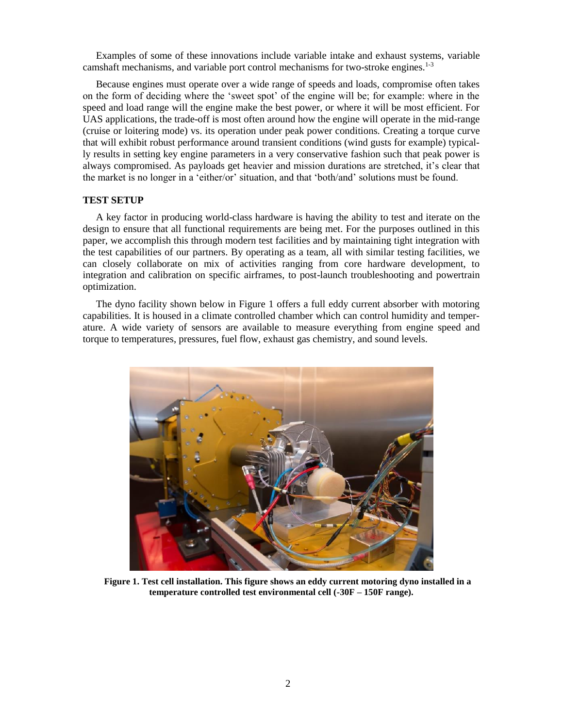Examples of some of these innovations include variable intake and exhaust systems, variable camshaft mechanisms, and variable port control mechanisms for two-stroke engines.1-3

Because engines must operate over a wide range of speeds and loads, compromise often takes on the form of deciding where the 'sweet spot' of the engine will be; for example: where in the speed and load range will the engine make the best power, or where it will be most efficient. For UAS applications, the trade-off is most often around how the engine will operate in the mid-range (cruise or loitering mode) vs. its operation under peak power conditions. Creating a torque curve that will exhibit robust performance around transient conditions (wind gusts for example) typically results in setting key engine parameters in a very conservative fashion such that peak power is always compromised. As payloads get heavier and mission durations are stretched, it's clear that the market is no longer in a 'either/or' situation, and that 'both/and' solutions must be found.

#### **TEST SETUP**

A key factor in producing world-class hardware is having the ability to test and iterate on the design to ensure that all functional requirements are being met. For the purposes outlined in this paper, we accomplish this through modern test facilities and by maintaining tight integration with the test capabilities of our partners. By operating as a team, all with similar testing facilities, we can closely collaborate on mix of activities ranging from core hardware development, to integration and calibration on specific airframes, to post-launch troubleshooting and powertrain optimization.

The dyno facility shown below in Figure 1 offers a full eddy current absorber with motoring capabilities. It is housed in a climate controlled chamber which can control humidity and temperature. A wide variety of sensors are available to measure everything from engine speed and torque to temperatures, pressures, fuel flow, exhaust gas chemistry, and sound levels.



**Figure 1. Test cell installation. This figure shows an eddy current motoring dyno installed in a temperature controlled test environmental cell (-30F – 150F range).**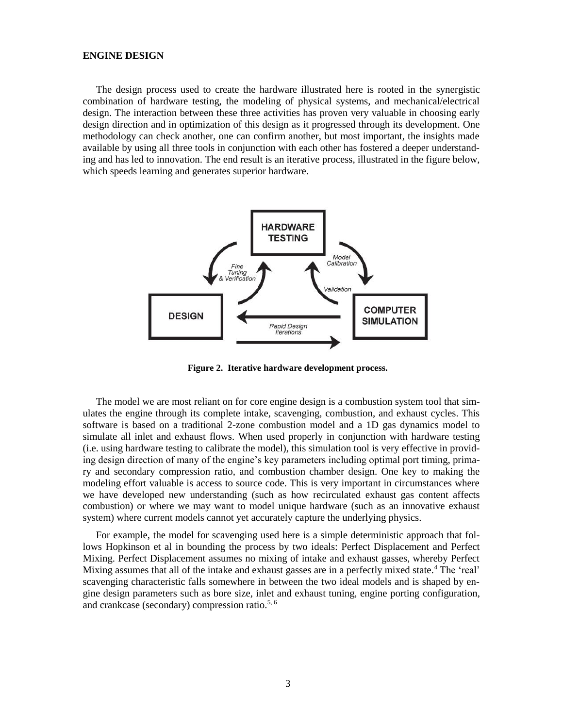## **ENGINE DESIGN**

The design process used to create the hardware illustrated here is rooted in the synergistic combination of hardware testing, the modeling of physical systems, and mechanical/electrical design. The interaction between these three activities has proven very valuable in choosing early design direction and in optimization of this design as it progressed through its development. One methodology can check another, one can confirm another, but most important, the insights made available by using all three tools in conjunction with each other has fostered a deeper understanding and has led to innovation. The end result is an iterative process, illustrated in the figure below, which speeds learning and generates superior hardware.



**Figure 2. Iterative hardware development process.**

The model we are most reliant on for core engine design is a combustion system tool that simulates the engine through its complete intake, scavenging, combustion, and exhaust cycles. This software is based on a traditional 2-zone combustion model and a 1D gas dynamics model to simulate all inlet and exhaust flows. When used properly in conjunction with hardware testing (i.e. using hardware testing to calibrate the model), this simulation tool is very effective in providing design direction of many of the engine's key parameters including optimal port timing, primary and secondary compression ratio, and combustion chamber design. One key to making the modeling effort valuable is access to source code. This is very important in circumstances where we have developed new understanding (such as how recirculated exhaust gas content affects combustion) or where we may want to model unique hardware (such as an innovative exhaust system) where current models cannot yet accurately capture the underlying physics.

For example, the model for scavenging used here is a simple deterministic approach that follows Hopkinson et al in bounding the process by two ideals: Perfect Displacement and Perfect Mixing. Perfect Displacement assumes no mixing of intake and exhaust gasses, whereby Perfect Mixing assumes that all of the intake and exhaust gasses are in a perfectly mixed state.<sup>4</sup> The 'real' scavenging characteristic falls somewhere in between the two ideal models and is shaped by engine design parameters such as bore size, inlet and exhaust tuning, engine porting configuration, and crankcase (secondary) compression ratio.5, 6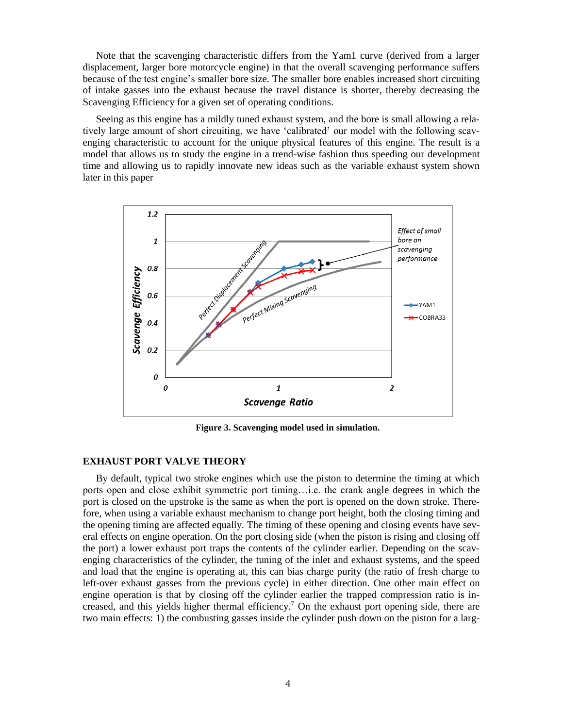Note that the scavenging characteristic differs from the Yam1 curve (derived from a larger displacement, larger bore motorcycle engine) in that the overall scavenging performance suffers because of the test engine's smaller bore size. The smaller bore enables increased short circuiting of intake gasses into the exhaust because the travel distance is shorter, thereby decreasing the Scavenging Efficiency for a given set of operating conditions.

Seeing as this engine has a mildly tuned exhaust system, and the bore is small allowing a relatively large amount of short circuiting, we have 'calibrated' our model with the following scavenging characteristic to account for the unique physical features of this engine. The result is a model that allows us to study the engine in a trend-wise fashion thus speeding our development time and allowing us to rapidly innovate new ideas such as the variable exhaust system shown later in this paper



**Figure 3. Scavenging model used in simulation.**

## **EXHAUST PORT VALVE THEORY**

By default, typical two stroke engines which use the piston to determine the timing at which ports open and close exhibit symmetric port timing…i.e. the crank angle degrees in which the port is closed on the upstroke is the same as when the port is opened on the down stroke. Therefore, when using a variable exhaust mechanism to change port height, both the closing timing and the opening timing are affected equally. The timing of these opening and closing events have several effects on engine operation. On the port closing side (when the piston is rising and closing off the port) a lower exhaust port traps the contents of the cylinder earlier. Depending on the scavenging characteristics of the cylinder, the tuning of the inlet and exhaust systems, and the speed and load that the engine is operating at, this can bias charge purity (the ratio of fresh charge to left-over exhaust gasses from the previous cycle) in either direction. One other main effect on engine operation is that by closing off the cylinder earlier the trapped compression ratio is increased, and this yields higher thermal efficiency. <sup>7</sup> On the exhaust port opening side, there are two main effects: 1) the combusting gasses inside the cylinder push down on the piston for a larg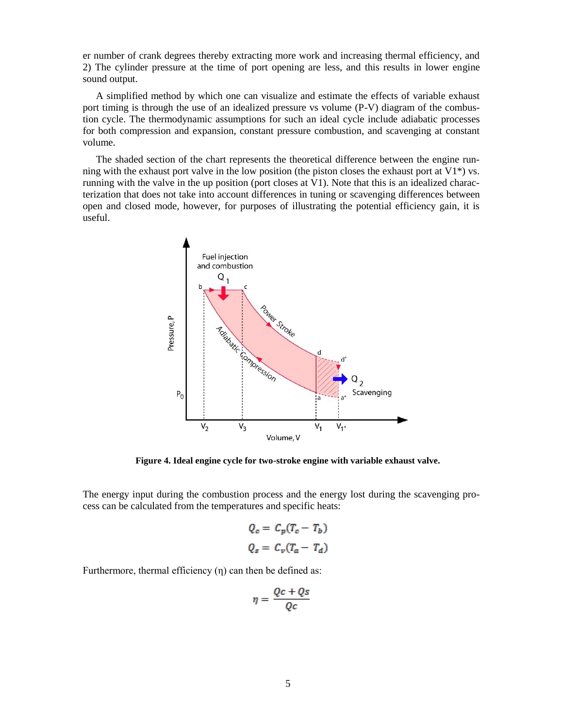er number of crank degrees thereby extracting more work and increasing thermal efficiency, and 2) The cylinder pressure at the time of port opening are less, and this results in lower engine sound output.

A simplified method by which one can visualize and estimate the effects of variable exhaust port timing is through the use of an idealized pressure vs volume (P-V) diagram of the combustion cycle. The thermodynamic assumptions for such an ideal cycle include adiabatic processes for both compression and expansion, constant pressure combustion, and scavenging at constant volume.

The shaded section of the chart represents the theoretical difference between the engine running with the exhaust port valve in the low position (the piston closes the exhaust port at  $V1^*$ ) vs. running with the valve in the up position (port closes at V1). Note that this is an idealized characterization that does not take into account differences in tuning or scavenging differences between open and closed mode, however, for purposes of illustrating the potential efficiency gain, it is useful.



**Figure 4. Ideal engine cycle for two-stroke engine with variable exhaust valve.**

The energy input during the combustion process and the energy lost during the scavenging process can be calculated from the temperatures and specific heats:

$$
Q_c = C_p(T_c - T_b)
$$
  

$$
Q_s = C_v(T_a - T_d)
$$

Furthermore, thermal efficiency (η) can then be defined as:

$$
\eta = \frac{Qc + Qs}{Qc}
$$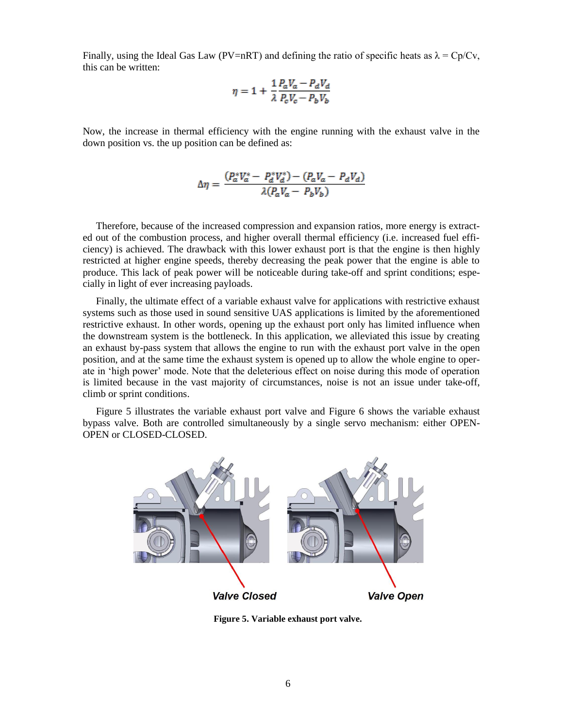Finally, using the Ideal Gas Law (PV=nRT) and defining the ratio of specific heats as  $\lambda = Cp/Cv$ , this can be written:

$$
\eta = 1 + \frac{1}{\lambda} \frac{P_a V_a - P_d V_d}{P_c V_c - P_b V_b}
$$

Now, the increase in thermal efficiency with the engine running with the exhaust valve in the down position vs. the up position can be defined as:

$$
\Delta \eta = \frac{(P_a^* V_a^* - P_d^* V_d^*) - (P_a V_a - P_d V_d)}{\lambda (P_a V_a - P_b V_b)}
$$

Therefore, because of the increased compression and expansion ratios, more energy is extracted out of the combustion process, and higher overall thermal efficiency (i.e. increased fuel efficiency) is achieved. The drawback with this lower exhaust port is that the engine is then highly restricted at higher engine speeds, thereby decreasing the peak power that the engine is able to produce. This lack of peak power will be noticeable during take-off and sprint conditions; especially in light of ever increasing payloads.

Finally, the ultimate effect of a variable exhaust valve for applications with restrictive exhaust systems such as those used in sound sensitive UAS applications is limited by the aforementioned restrictive exhaust. In other words, opening up the exhaust port only has limited influence when the downstream system is the bottleneck. In this application, we alleviated this issue by creating an exhaust by-pass system that allows the engine to run with the exhaust port valve in the open position, and at the same time the exhaust system is opened up to allow the whole engine to operate in 'high power' mode. Note that the deleterious effect on noise during this mode of operation is limited because in the vast majority of circumstances, noise is not an issue under take-off, climb or sprint conditions.

Figure 5 illustrates the variable exhaust port valve and Figure 6 shows the variable exhaust bypass valve. Both are controlled simultaneously by a single servo mechanism: either OPEN-OPEN or CLOSED-CLOSED.



**Figure 5. Variable exhaust port valve.**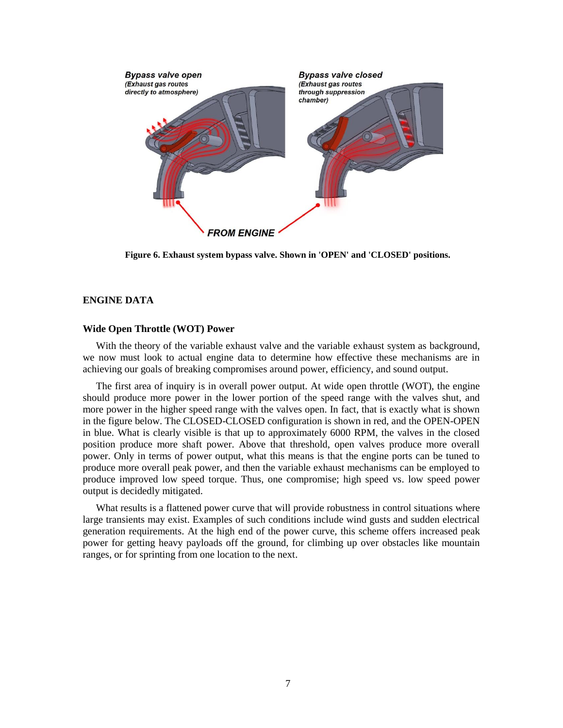

**Figure 6. Exhaust system bypass valve. Shown in 'OPEN' and 'CLOSED' positions.**

## **ENGINE DATA**

## **Wide Open Throttle (WOT) Power**

With the theory of the variable exhaust valve and the variable exhaust system as background, we now must look to actual engine data to determine how effective these mechanisms are in achieving our goals of breaking compromises around power, efficiency, and sound output.

The first area of inquiry is in overall power output. At wide open throttle (WOT), the engine should produce more power in the lower portion of the speed range with the valves shut, and more power in the higher speed range with the valves open. In fact, that is exactly what is shown in the figure below. The CLOSED-CLOSED configuration is shown in red, and the OPEN-OPEN in blue. What is clearly visible is that up to approximately 6000 RPM, the valves in the closed position produce more shaft power. Above that threshold, open valves produce more overall power. Only in terms of power output, what this means is that the engine ports can be tuned to produce more overall peak power, and then the variable exhaust mechanisms can be employed to produce improved low speed torque. Thus, one compromise; high speed vs. low speed power output is decidedly mitigated.

What results is a flattened power curve that will provide robustness in control situations where large transients may exist. Examples of such conditions include wind gusts and sudden electrical generation requirements. At the high end of the power curve, this scheme offers increased peak power for getting heavy payloads off the ground, for climbing up over obstacles like mountain ranges, or for sprinting from one location to the next.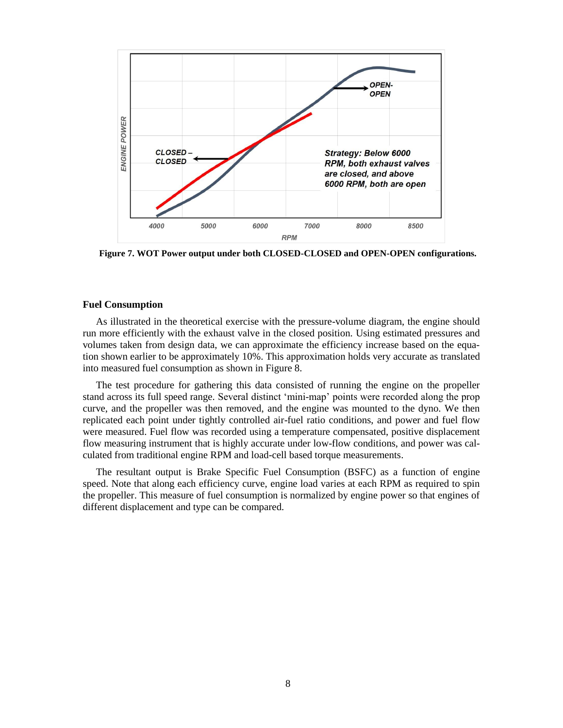

**Figure 7. WOT Power output under both CLOSED-CLOSED and OPEN-OPEN configurations.**

## **Fuel Consumption**

As illustrated in the theoretical exercise with the pressure-volume diagram, the engine should run more efficiently with the exhaust valve in the closed position. Using estimated pressures and volumes taken from design data, we can approximate the efficiency increase based on the equation shown earlier to be approximately 10%. This approximation holds very accurate as translated into measured fuel consumption as shown in Figure 8.

The test procedure for gathering this data consisted of running the engine on the propeller stand across its full speed range. Several distinct 'mini-map' points were recorded along the prop curve, and the propeller was then removed, and the engine was mounted to the dyno. We then replicated each point under tightly controlled air-fuel ratio conditions, and power and fuel flow were measured. Fuel flow was recorded using a temperature compensated, positive displacement flow measuring instrument that is highly accurate under low-flow conditions, and power was calculated from traditional engine RPM and load-cell based torque measurements.

The resultant output is Brake Specific Fuel Consumption (BSFC) as a function of engine speed. Note that along each efficiency curve, engine load varies at each RPM as required to spin the propeller. This measure of fuel consumption is normalized by engine power so that engines of different displacement and type can be compared.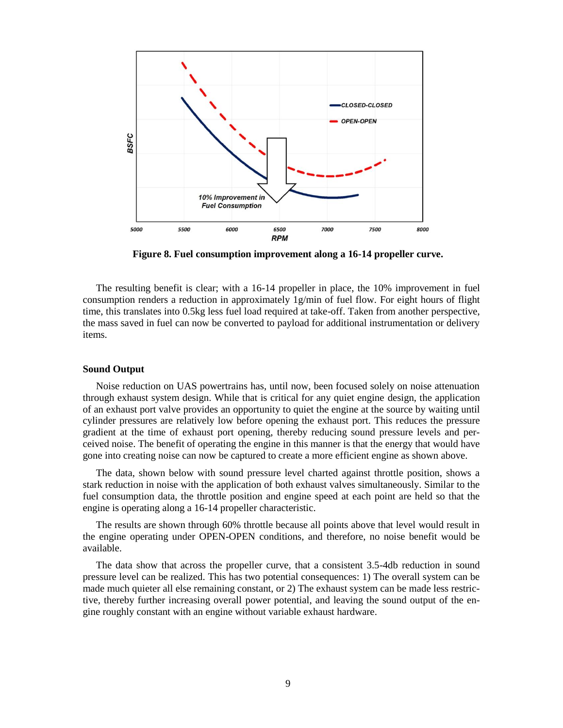

**Figure 8. Fuel consumption improvement along a 16-14 propeller curve.**

The resulting benefit is clear; with a 16-14 propeller in place, the 10% improvement in fuel consumption renders a reduction in approximately 1g/min of fuel flow. For eight hours of flight time, this translates into 0.5kg less fuel load required at take-off. Taken from another perspective, the mass saved in fuel can now be converted to payload for additional instrumentation or delivery items.

## **Sound Output**

Noise reduction on UAS powertrains has, until now, been focused solely on noise attenuation through exhaust system design. While that is critical for any quiet engine design, the application of an exhaust port valve provides an opportunity to quiet the engine at the source by waiting until cylinder pressures are relatively low before opening the exhaust port. This reduces the pressure gradient at the time of exhaust port opening, thereby reducing sound pressure levels and perceived noise. The benefit of operating the engine in this manner is that the energy that would have gone into creating noise can now be captured to create a more efficient engine as shown above.

The data, shown below with sound pressure level charted against throttle position, shows a stark reduction in noise with the application of both exhaust valves simultaneously. Similar to the fuel consumption data, the throttle position and engine speed at each point are held so that the engine is operating along a 16-14 propeller characteristic.

The results are shown through 60% throttle because all points above that level would result in the engine operating under OPEN-OPEN conditions, and therefore, no noise benefit would be available.

The data show that across the propeller curve, that a consistent 3.5-4db reduction in sound pressure level can be realized. This has two potential consequences: 1) The overall system can be made much quieter all else remaining constant, or 2) The exhaust system can be made less restrictive, thereby further increasing overall power potential, and leaving the sound output of the engine roughly constant with an engine without variable exhaust hardware.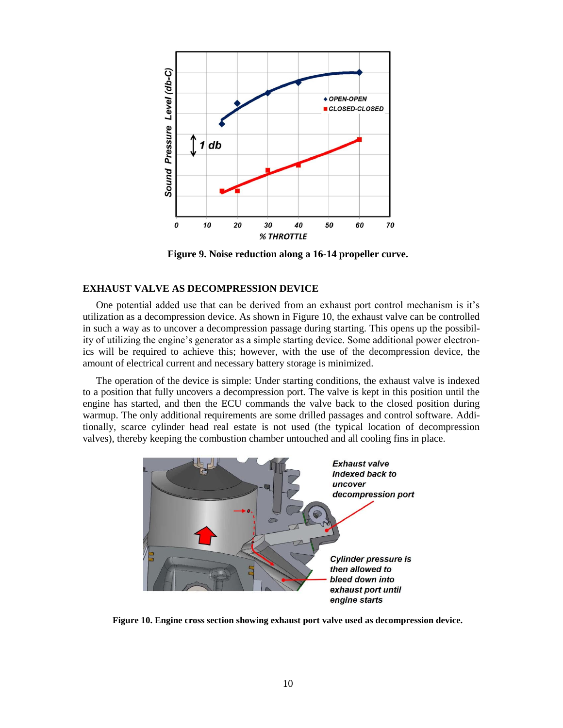

**Figure 9. Noise reduction along a 16-14 propeller curve.**

## **EXHAUST VALVE AS DECOMPRESSION DEVICE**

One potential added use that can be derived from an exhaust port control mechanism is it's utilization as a decompression device. As shown in Figure 10, the exhaust valve can be controlled in such a way as to uncover a decompression passage during starting. This opens up the possibility of utilizing the engine's generator as a simple starting device. Some additional power electronics will be required to achieve this; however, with the use of the decompression device, the amount of electrical current and necessary battery storage is minimized.

The operation of the device is simple: Under starting conditions, the exhaust valve is indexed to a position that fully uncovers a decompression port. The valve is kept in this position until the engine has started, and then the ECU commands the valve back to the closed position during warmup. The only additional requirements are some drilled passages and control software. Additionally, scarce cylinder head real estate is not used (the typical location of decompression valves), thereby keeping the combustion chamber untouched and all cooling fins in place.



**Figure 10. Engine cross section showing exhaust port valve used as decompression device.**